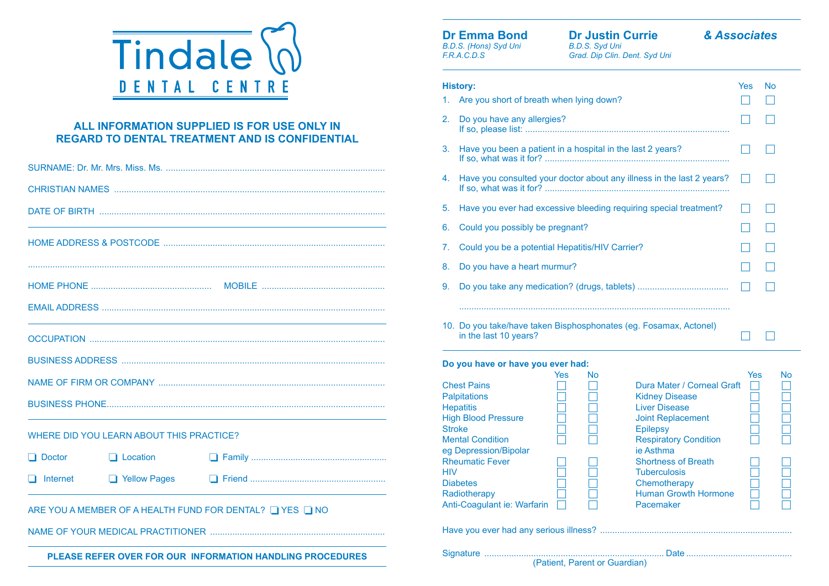

## **ALL INFORMATION SUPPLIED IS FOR USE ONLY IN REGARD TO DENTAL TREATMENT AND IS CONFIDENTIAL**

|                 |                                          |                                                         | $11$ 30, WITRE WAS IT TOT:                                      |
|-----------------|------------------------------------------|---------------------------------------------------------|-----------------------------------------------------------------|
|                 |                                          |                                                         | 4. Have you consulted your doctor about                         |
|                 |                                          |                                                         | 5. Have you ever had excessive bleeding                         |
|                 |                                          |                                                         | 6. Could you possibly be pregnant?                              |
|                 |                                          |                                                         | 7. Could you be a potential Hepatitis/HIV                       |
|                 |                                          |                                                         | 8. Do you have a heart murmur?                                  |
|                 |                                          |                                                         | 9. Do you take any medication? (drugs, t                        |
|                 |                                          |                                                         |                                                                 |
|                 |                                          |                                                         | 10. Do you take/have taken Bisphosphon<br>in the last 10 years? |
|                 |                                          |                                                         | Do you have or have you ever had:                               |
|                 |                                          |                                                         | <b>Yes</b><br><b>No</b><br><b>Chest Pains</b><br>$\Box$         |
|                 |                                          |                                                         | Palpitations<br><b>Hepatitis</b>                                |
|                 |                                          |                                                         | E<br><b>High Blood Pressure</b>                                 |
|                 | WHERE DID YOU LEARN ABOUT THIS PRACTICE? |                                                         | <b>Stroke</b><br><b>Mental Condition</b>                        |
| $\Box$ Doctor   | $\Box$ Location                          |                                                         | eg Depression/Bipolar<br><b>Rheumatic Fever</b>                 |
| $\Box$ Internet | Yellow Pages                             |                                                         | <b>HIV</b><br>$\Box$<br><b>Diabetes</b>                         |
|                 |                                          | ARE YOU A MEMBER OF A HEALTH FUND FOR DENTAL? TYES TINO | Radiotherapy<br>Anti-Coagulant ie: Warfarin                     |
|                 |                                          |                                                         | Have you ever had any serious illness?                          |

**PLEASE REFER OVER FOR OUR INFORMATION HANDLING PROCEDURES** 

**Dr Emma Bond** *B.D.S. (Hons) Syd Uni F.R.A.C.D.S*

**Dr Justin Currie** *B.D.S. Syd Uni*

## *& Associates*

| __________ |  |                               |  |  |
|------------|--|-------------------------------|--|--|
|            |  | Grad. Dip Clin. Dent. Syd Uni |  |  |

| 1.            | <b>History:</b><br>Are you short of breath when lying down?                                                                                                                                                                                                                          | Yes | No |    |
|---------------|--------------------------------------------------------------------------------------------------------------------------------------------------------------------------------------------------------------------------------------------------------------------------------------|-----|----|----|
| 2.            | Do you have any allergies?                                                                                                                                                                                                                                                           |     |    |    |
| 3.            | Have you been a patient in a hospital in the last 2 years?                                                                                                                                                                                                                           |     |    |    |
| 4.            | Have you consulted your doctor about any illness in the last 2 years?                                                                                                                                                                                                                |     |    |    |
| 5.            | Have you ever had excessive bleeding requiring special treatment?                                                                                                                                                                                                                    |     |    |    |
| 6.            | Could you possibly be pregnant?                                                                                                                                                                                                                                                      |     |    |    |
| 7.            | Could you be a potential Hepatitis/HIV Carrier?                                                                                                                                                                                                                                      |     |    |    |
| 8.            | Do you have a heart murmur?                                                                                                                                                                                                                                                          |     |    |    |
| 9.            |                                                                                                                                                                                                                                                                                      |     |    |    |
|               | 10. Do you take/have taken Bisphosphonates (eg. Fosamax, Actonel)<br>in the last 10 years?                                                                                                                                                                                           |     |    |    |
|               | Do you have or have you ever had:<br><b>Yes</b><br><b>No</b>                                                                                                                                                                                                                         | Yes |    | No |
| <b>Stroke</b> | <b>Chest Pains</b><br>Dura Mater / Corneal Graft<br><b>Palpitations</b><br><b>Kidney Disease</b><br><b>Liver Disease</b><br><b>Hepatitis</b><br><b>High Blood Pressure</b><br><b>Joint Replacement</b><br><b>Epilepsy</b><br><b>Mental Condition</b><br><b>Respiratory Condition</b> |     |    |    |

Shortness of Breath<br>
Tuberculosis<br>
Chemotherapy<br>
Human Growth Hormone<br>
Pacemaker Tuberculosis<br>Chemotherapy<br>Human Growth Hormone<br>Pacemaker

ie Asthma

**Chemotherapy** 

Pacemaker 

Human Growth Hormone 

Signature ......................................................................... Date ...........................................